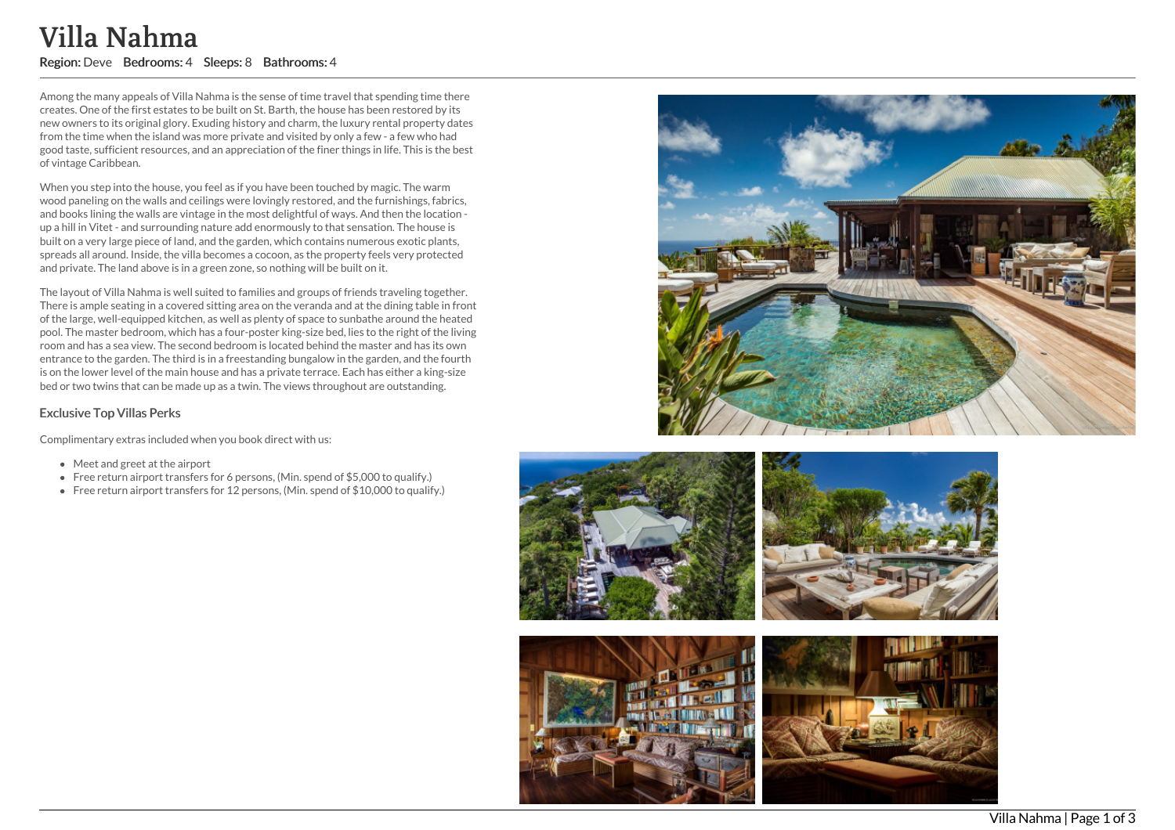## Villa Nahma

Region: Deve Bedrooms: 4 Sleeps: 8 Bathrooms: 4

Among the many appeals of Villa Nahma is the sense of time travel that spending time there creates. One of the first estates to be built on St. Barth, the house has been restored by its new owners to its original glory. Exuding history and charm, the luxury rental property dates from the time when the island was more private and visited by only a few - a few who had good taste, sufficient resources, and an appreciation of the finer things in life. This is the best of vintage Caribbean.

When you step into the house, you feel as if you have been touched by magic. The warm wood paneling on the walls and ceilings were lovingly restored, and the furnishings, fabrics, and books lining the walls are vintage in the most delightful of ways. And then the location up a hill in Vitet - and surrounding nature add enormously to that sensation. The house is built on a very large piece of land, and the garden, which contains numerous exotic plants, spreads all around. Inside, the villa becomes a cocoon, as the property feels very protected and private. The land above is in a green zone, so nothing will be built on it.

The layout of Villa Nahma is well suited to families and groups of friends traveling together. There is ample seating in a covered sitting area on the veranda and at the dining table in front of the large, well-equipped kitchen, as well as plenty of space to sunbathe around the heated pool. The master bedroom, which has a four-poster king-size bed, lies to the right of the living room and has a sea view. The second bedroom is located behind the master and has its own entrance to the garden. The third is in a freestanding bungalow in the garden, and the fourth is on the lower level of the main house and has a private terrace. Each has either a king-size bed or two twins that can be made up as a twin. The views throughout are outstanding.

## Exclusive Top Villas Perks

Complimentary extras included when you book direct with us:

- Meet and greet at the airport
- Free return airport transfers for 6 persons, (Min. spend of \$5,000 to qualify.)
- Free return airport transfers for 12 persons, (Min. spend of \$10,000 to qualify.)



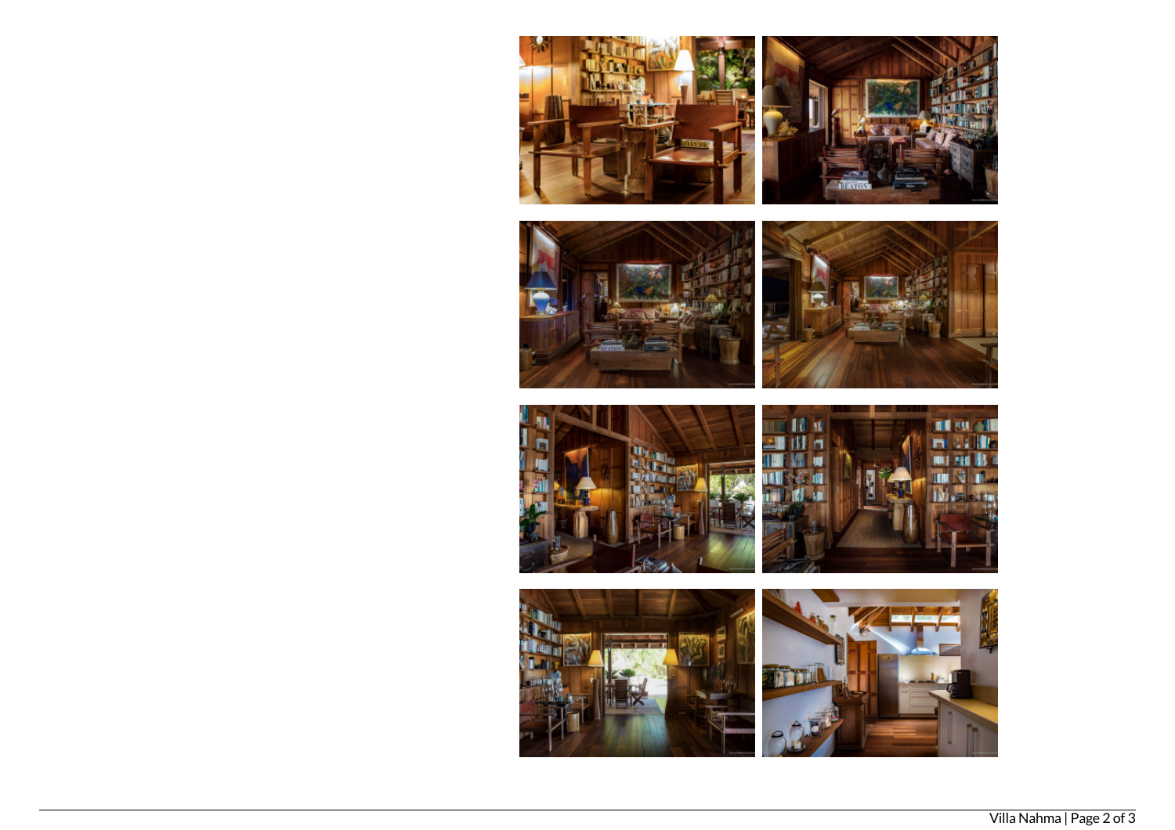